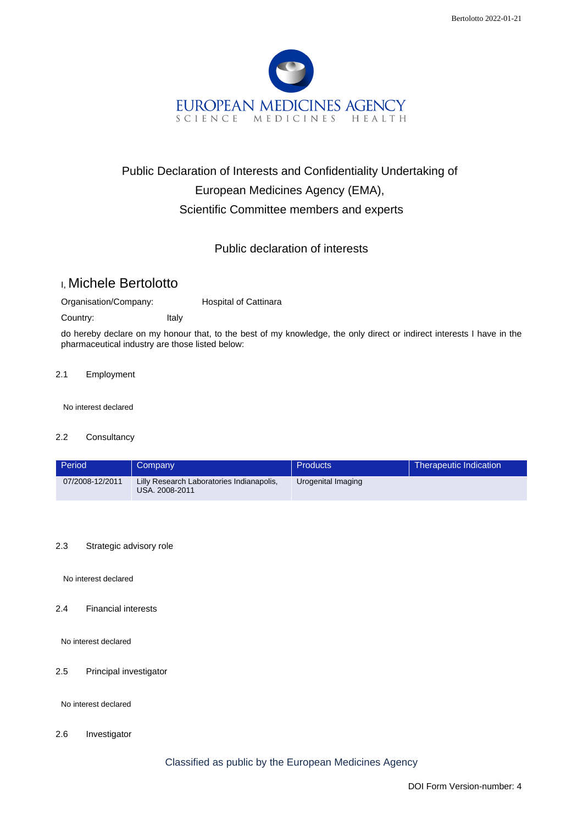

# Public Declaration of Interests and Confidentiality Undertaking of European Medicines Agency (EMA), Scientific Committee members and experts

## Public declaration of interests

# I, Michele Bertolotto

Organisation/Company: Hospital of Cattinara

Country: Italy

do hereby declare on my honour that, to the best of my knowledge, the only direct or indirect interests I have in the pharmaceutical industry are those listed below:

### 2.1 Employment

No interest declared

#### 2.2 Consultancy

| Period          | Company                                                     | <b>Products</b>    | Therapeutic Indication |
|-----------------|-------------------------------------------------------------|--------------------|------------------------|
| 07/2008-12/2011 | Lilly Research Laboratories Indianapolis,<br>USA. 2008-2011 | Urogenital Imaging |                        |

### 2.3 Strategic advisory role

No interest declared

2.4 Financial interests

No interest declared

## 2.5 Principal investigator

No interest declared

2.6 Investigator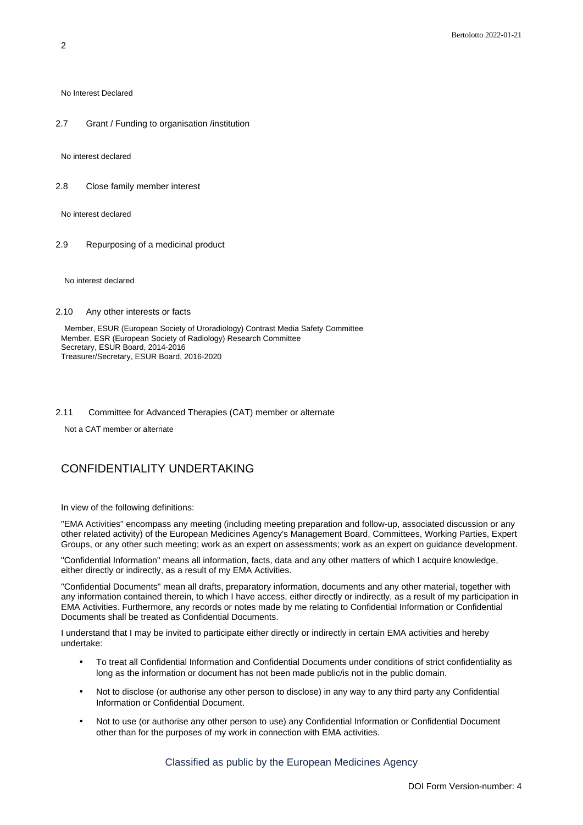No Interest Declared

2.7 Grant / Funding to organisation /institution

No interest declared

2.8 Close family member interest

No interest declared

2.9 Repurposing of a medicinal product

No interest declared

#### 2.10 Any other interests or facts

Member, ESUR (European Society of Uroradiology) Contrast Media Safety Committee Member, ESR (European Society of Radiology) Research Committee Secretary, ESUR Board, 2014-2016 Treasurer/Secretary, ESUR Board, 2016-2020

#### 2.11 Committee for Advanced Therapies (CAT) member or alternate

Not a CAT member or alternate

## CONFIDENTIALITY UNDERTAKING

In view of the following definitions:

"EMA Activities" encompass any meeting (including meeting preparation and follow-up, associated discussion or any other related activity) of the European Medicines Agency's Management Board, Committees, Working Parties, Expert Groups, or any other such meeting; work as an expert on assessments; work as an expert on guidance development.

"Confidential Information" means all information, facts, data and any other matters of which I acquire knowledge, either directly or indirectly, as a result of my EMA Activities.

"Confidential Documents" mean all drafts, preparatory information, documents and any other material, together with any information contained therein, to which I have access, either directly or indirectly, as a result of my participation in EMA Activities. Furthermore, any records or notes made by me relating to Confidential Information or Confidential Documents shall be treated as Confidential Documents.

I understand that I may be invited to participate either directly or indirectly in certain EMA activities and hereby undertake:

- To treat all Confidential Information and Confidential Documents under conditions of strict confidentiality as long as the information or document has not been made public/is not in the public domain.
- Not to disclose (or authorise any other person to disclose) in any way to any third party any Confidential Information or Confidential Document.
- Not to use (or authorise any other person to use) any Confidential Information or Confidential Document other than for the purposes of my work in connection with EMA activities.

Classified as public by the European Medicines Agency